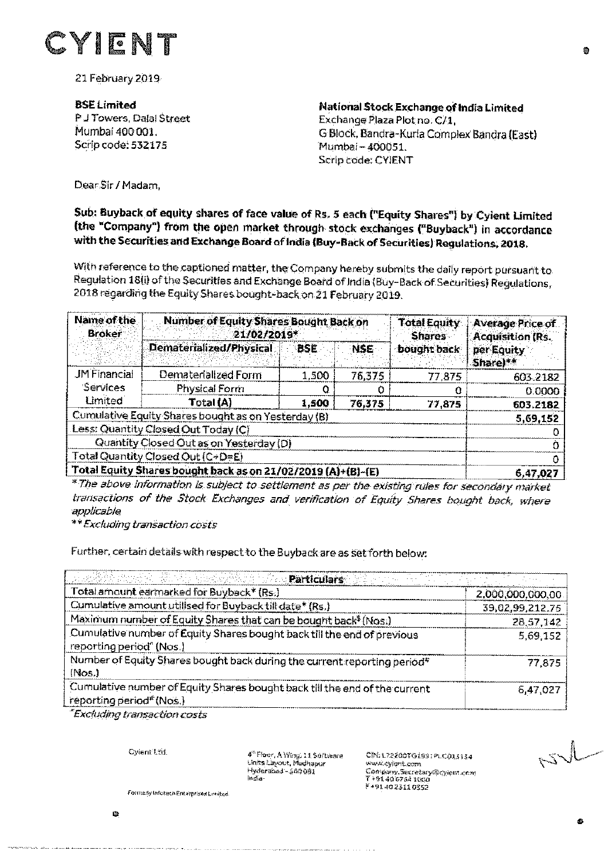

21 February 2019

**BSE Limited** P J Towers, Dalal Street Mumbai 400 001. Scrip code: 532175

**National Stock Exchange of India Limited** Exchange Plaza Plot no. C/1. G Block, Bandra-Kurla Complex Bandra (East) Mumbai - 400051. Scrip code: CYIENT

Dear Sir / Madam.

## Sub: Buyback of equity shares of face value of Rs. 5 each ("Equity Shares") by Cylent Limited (the "Company") from the open market through stock exchanges ("Buyback") in accordance with the Securities and Exchange Board of India (Buy-Back of Securities) Regulations, 2018.

With reference to the captioned matter, the Company hereby submits the daily report pursuant to Regulation 18(i) of the Securities and Exchange Board of India (Buy-Back of Securities) Regulations, 2018 regarding the Equity Shares bought-back on 21 February 2019.

| Name of the<br><b>Broker</b>                                 | <b>Number of Equity Shares Bought Back on</b><br>21/02/2019* |            |            | <b>Total Equity</b><br><b>Shares</b> | Average Price of<br><b>Acquisition (Rs.</b> |
|--------------------------------------------------------------|--------------------------------------------------------------|------------|------------|--------------------------------------|---------------------------------------------|
|                                                              | Dematerialized/Physical                                      | <b>BSE</b> | <b>NSE</b> | bought back                          | ner Equity<br>Share)**                      |
| <b>JM Financial</b>                                          | Dematerialized Form                                          | 1,500      | 76,375     | 77,875                               | 603,2182                                    |
| Services                                                     | Physical Form                                                |            |            |                                      | 0.0000                                      |
| <b>Limited</b>                                               | Total (A)                                                    | 1,500      | 76,375     | 77,875                               | 603.2182                                    |
| Cumulative Equity Shares bought as on Yesterday (B)          | 5,69,152                                                     |            |            |                                      |                                             |
| Less: Quantity Closed Out Today (C)                          |                                                              |            |            |                                      |                                             |
| Quantity Closed Out as on Yesterday (D)                      |                                                              |            |            |                                      |                                             |
| Total Quantity Closed Out (C+D=E)                            |                                                              |            |            |                                      |                                             |
| Total Equity Shares bought back as on 21/02/2019 (A)+(B)-(E) | 6,47,027                                                     |            |            |                                      |                                             |

\* The above information is subject to settlement as per the existing rules for secondary market transactions of the Stock Exchanges and verification of Equity Shares bought back, where applicable

\*\*Excluding transaction costs

Further, certain details with respect to the Buyback are as set forth below:

| <u>manistrative de sin de des 1989, la provincia de la con</u>                                                     |                  |
|--------------------------------------------------------------------------------------------------------------------|------------------|
| Total amount earmarked for Buyback* (Rs.)                                                                          | 2,000,000,000.00 |
| Cumulative amount utilised for Buyback till date* (Rs.)                                                            | 39,02,99,212.75  |
| Maximum number of Equity Shares that can be bought back <sup>\$</sup> (Nos.)                                       | 28,57,142        |
| Cumulative number of Equity Shares bought back till the end of previous<br>reporting period" (Nos.)                | 5,69.152         |
| Number of Equity Shares bought back during the current reporting period*<br>(Nos.)                                 | 77.875           |
| Cumulative number of Equity Shares bought back till the end of the current<br>reporting period <sup>#</sup> (Nos.) | 6,47,027         |

Excluding transaction costs

Cviant<sup>1</sup>.\*d

4<sup>m</sup> Floor, A Wing, 11 Softsbare Units Lavout, Medhapur Hyderabad - 500 081 in SaCINEL72200TG1991PLC013134 www.cvient.com Company.Secretary@cylent.com 7+914067641000 F+914023110352

Formerly Informati Enterprises Limited